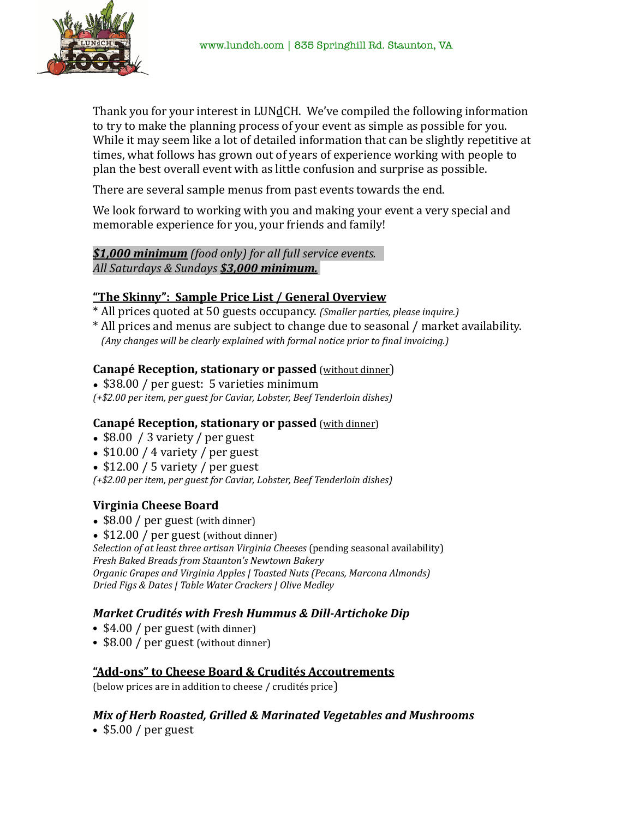

Thank you for your interest in LUNdCH. We've compiled the following information to try to make the planning process of your event as simple as possible for you. While it may seem like a lot of detailed information that can be slightly repetitive at times, what follows has grown out of years of experience working with people to plan the best overall event with as little confusion and surprise as possible.

There are several sample menus from past events towards the end.

We look forward to working with you and making your event a very special and memorable experience for you, your friends and family!

# *<u>\$1,000 minimum</u> (food only) for all full service events. All Saturdays & Sundays \$3,000 minimum.*

# **"The Skinny": Sample Price List / General Overview**

- \* All prices quoted at 50 guests occupancy. *(Smaller parties, please inquire.)*
- \* All prices and menus are subject to change due to seasonal / market availability. *(Any changes will be clearly explained with formal notice prior to final invoicing.)*

# **Canapé Reception, stationary or passed** (without dinner)

• \$38.00 / per guest: 5 varieties minimum

*(+\$2.00 per item, per guest for Caviar, Lobster, Beef Tenderloin dishes)* 

### **Canapé Reception, stationary or passed** (with dinner)

- $$8.00 / 3$  variety / per guest
- $$10.00 / 4$  variety / per guest
- $$12.00 / 5$  variety / per guest
- *(+\$2.00 per item, per guest for Caviar, Lobster, Beef Tenderloin dishes)*

# **Virginia Cheese Board**

- $$8.00 / per guest (with dinner)$
- $$12.00 / per guest (without dinner)$

*Selection of at least three artisan Virginia Cheeses* (pending seasonal availability) *Fresh Baked Breads from Staunton's Newtown Bakery* 

*Organic Grapes and Virginia Apples | Toasted Nuts (Pecans, Marcona Almonds) Dried Figs & Dates | Table Water Crackers | Olive Medley* 

# *Market Crudités with Fresh Hummus & Dill-Artichoke Dip*

- \$4.00 / per guest (with dinner)
- \$8.00 / per guest (without dinner)

# "Add-ons" to Cheese Board & Crudités Accoutrements

(below prices are in addition to cheese / crudités price)

# **Mix of Herb Roasted, Grilled & Marinated Vegetables and Mushrooms**

• \$5.00 / per guest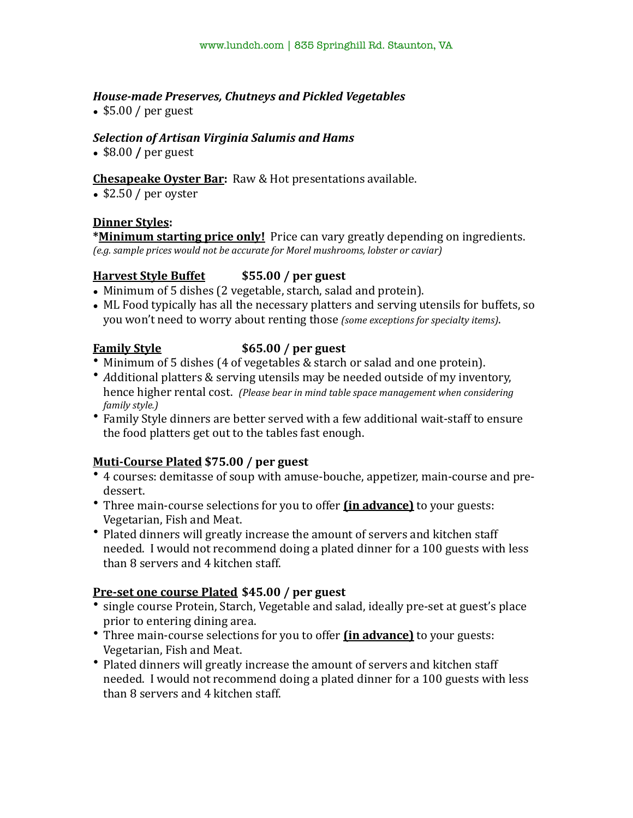# *House-made Preserves, Chutneys and Pickled Vegetables*

•  $$5.00 / per guest$ 

# **Selection of Artisan Virginia Salumis and Hams**

• \$8.00 / per guest

# **Chesapeake Oyster Bar:** Raw & Hot presentations available.

• \$2.50 / per oyster

### **Dinner Styles:**

**\*Minimum starting price only!** Price can vary greatly depending on ingredients. *(e.g. sample prices would not be accurate for Morel mushrooms, lobster or caviar)* 

# **Harvest Style Buffet** \$55.00 / per guest

- Minimum of 5 dishes (2 vegetable, starch, salad and protein).
- ML Food typically has all the necessary platters and serving utensils for buffets, so you won't need to worry about renting those *(some exceptions for specialty items)*.

### **Family Style \$65.00** / per guest

- Minimum of 5 dishes (4 of vegetables & starch or salad and one protein).
- *Additional platters & serving utensils may be needed outside of my inventory,* hence higher rental cost. (Please bear in mind table space management when considering *family style.*)
- Family Style dinners are better served with a few additional wait-staff to ensure the food platters get out to the tables fast enough.

# **Muti-Course Plated \$75.00 / per guest**

- 4 courses: demitasse of soup with amuse-bouche, appetizer, main-course and predessert.
- Three main-course selections for you to offer *(in advance)* to your guests: Vegetarian, Fish and Meat.
- Plated dinners will greatly increase the amount of servers and kitchen staff needed. I would not recommend doing a plated dinner for a 100 guests with less than 8 servers and 4 kitchen staff.

### **Pre-set one course Plated \$45.00 / per guest**

- single course Protein, Starch, Vegetable and salad, ideally pre-set at guest's place prior to entering dining area.
- Three main-course selections for you to offer *(in advance)* to your guests: Vegetarian, Fish and Meat.
- Plated dinners will greatly increase the amount of servers and kitchen staff needed. I would not recommend doing a plated dinner for a 100 guests with less than 8 servers and 4 kitchen staff.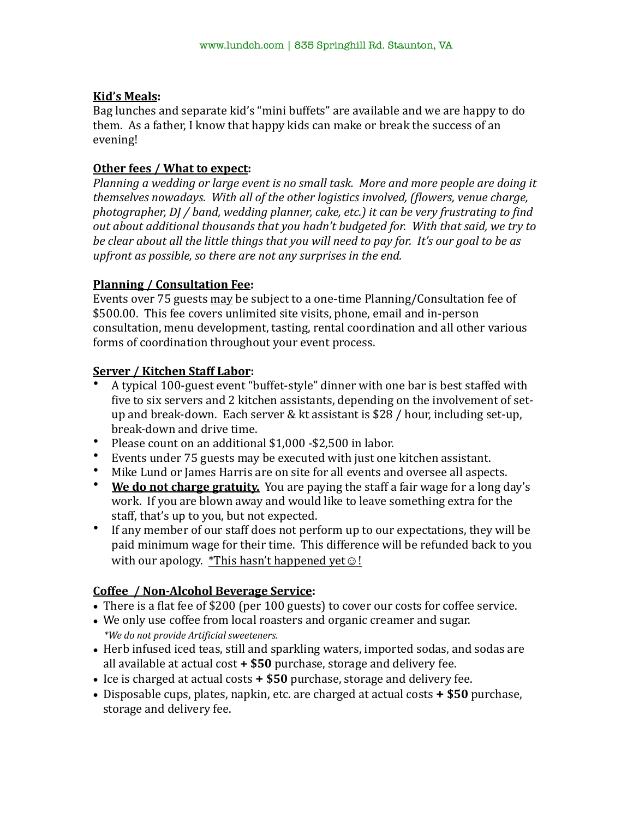# **Kid's Meals:**

Bag lunches and separate kid's "mini buffets" are available and we are happy to do them. As a father, I know that happy kids can make or break the success of an evening! 

# **Other fees / What to expect:**

*Planning a wedding or large event is no small task. More and more people are doing it themselves nowadays.* With all of the other logistics involved, (flowers, venue charge, photographer, DJ / band, wedding planner, cake, etc.) it can be very frustrating to find *out about additional thousands that you hadn't budgeted for. With that said, we try to be clear about all the little things that you will need to pay for. It's our goal to be as upfront as possible, so there are not any surprises in the end.* 

# **Planning / Consultation Fee:**

Events over 75 guests may be subject to a one-time Planning/Consultation fee of \$500.00. This fee covers unlimited site visits, phone, email and in-person consultation, menu development, tasting, rental coordination and all other various forms of coordination throughout your event process.

# **Server / Kitchen Staff Labor:**

- A typical 100-guest event "buffet-style" dinner with one bar is best staffed with five to six servers and 2 kitchen assistants, depending on the involvement of setup and break-down. Each server & kt assistant is  $$28$  / hour, including set-up, break-down and drive time.
- Please count on an additional  $$1,000 $2,500$  in labor.
- Events under 75 guests may be executed with just one kitchen assistant.
- Mike Lund or James Harris are on site for all events and oversee all aspects.
- **We do not charge gratuity.** You are paying the staff a fair wage for a long day's work. If you are blown away and would like to leave something extra for the staff, that's up to you, but not expected.
- If any member of our staff does not perform up to our expectations, they will be paid minimum wage for their time. This difference will be refunded back to you with our apology.  $*$ This hasn't happened yet  $\odot$ !

# **Coffee / Non-Alcohol Beverage Service:**

- There is a flat fee of \$200 (per 100 guests) to cover our costs for coffee service.
- We only use coffee from local roasters and organic creamer and sugar. *\*We do not provide Artificial sweeteners.*
- Herb infused iced teas, still and sparkling waters, imported sodas, and sodas are all available at actual  $cost + $50$  purchase, storage and delivery fee.
- Ice is charged at actual costs **+ \$50** purchase, storage and delivery fee.
- Disposable cups, plates, napkin, etc. are charged at actual costs **+ \$50** purchase, storage and delivery fee.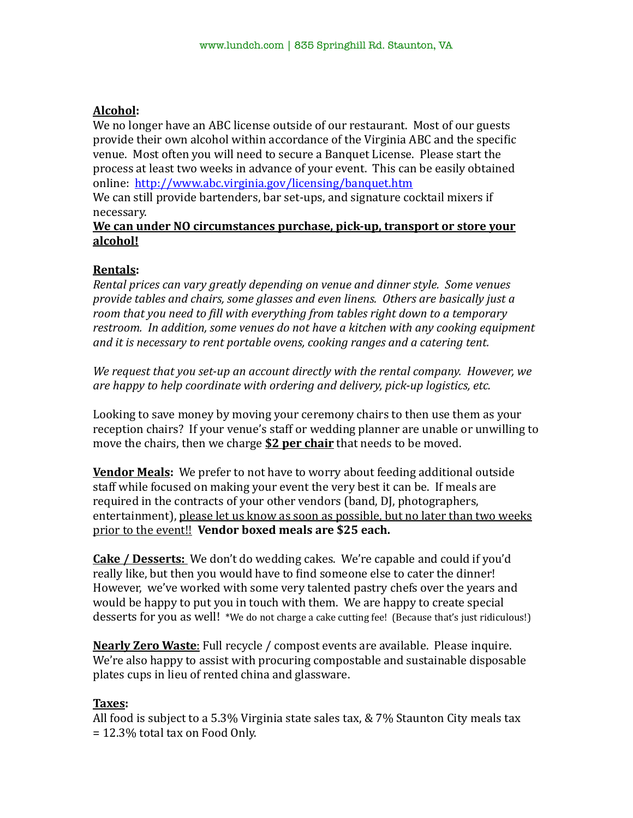# **Alcohol:**

We no longer have an ABC license outside of our restaurant. Most of our guests provide their own alcohol within accordance of the Virginia ABC and the specific venue. Most often you will need to secure a Banquet License. Please start the process at least two weeks in advance of your event. This can be easily obtained online: http://www.abc.virginia.gov/licensing/banquet.htm

We can still provide bartenders, bar set-ups, and signature cocktail mixers if necessary. 

### **We can under NO circumstances purchase, pick-up, transport or store your alcohol!**

# **Rentals:**

*Rental prices can vary greatly depending on venue and dinner style. Some venues* provide tables and chairs, some glasses and even linens. Others are basically just a room that you need to fill with everything from tables right down to a temporary restroom. In addition, some venues do not have a kitchen with any cooking equipment and it is necessary to rent portable ovens, cooking ranges and a catering tent.

We request that you set-up an account directly with the rental company. However, we *are happy to help coordinate with ordering and delivery, pick-up logistics, etc.* 

Looking to save money by moving your ceremony chairs to then use them as your reception chairs? If your venue's staff or wedding planner are unable or unwilling to move the chairs, then we charge **\$2 per chair** that needs to be moved.

**Vendor Meals:** We prefer to not have to worry about feeding additional outside staff while focused on making your event the very best it can be. If meals are required in the contracts of your other vendors (band, DJ, photographers, entertainment), please let us know as soon as possible, but no later than two weeks prior to the event!! Vendor boxed meals are \$25 each.

**Cake / Desserts:** We don't do wedding cakes. We're capable and could if you'd really like, but then you would have to find someone else to cater the dinner! However, we've worked with some very talented pastry chefs over the years and would be happy to put you in touch with them. We are happy to create special desserts for you as well! \*We do not charge a cake cutting fee! (Because that's just ridiculous!)

**Nearly Zero Waste**: Full recycle / compost events are available. Please inquire. We're also happy to assist with procuring compostable and sustainable disposable plates cups in lieu of rented china and glassware.

### **Taxes:**

All food is subject to a 5.3% Virginia state sales tax,  $& 7\%$  Staunton City meals tax  $= 12.3\%$  total tax on Food Only.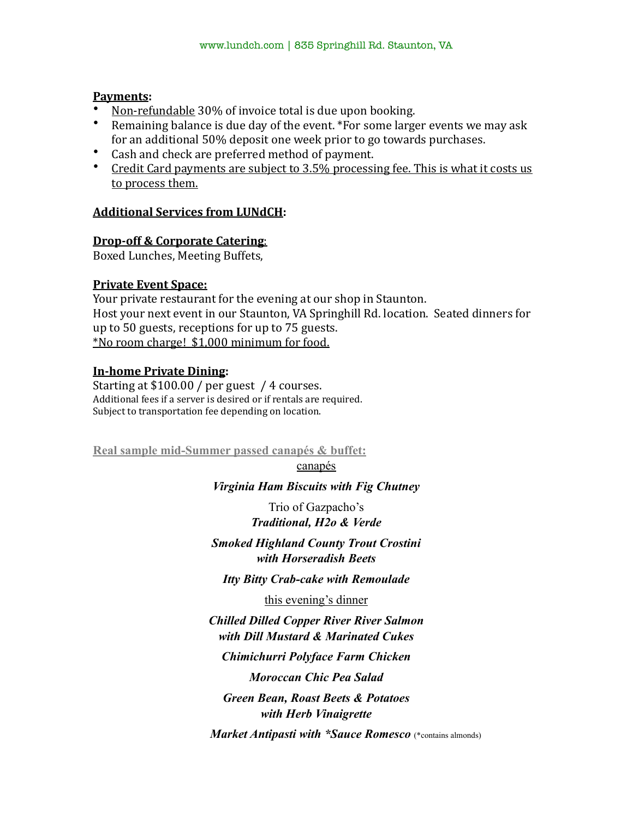### **Payments:**

- Non-refundable 30% of invoice total is due upon booking.
- Remaining balance is due day of the event. \*For some larger events we may ask for an additional 50% deposit one week prior to go towards purchases.
- Cash and check are preferred method of payment.
- Credit Card payments are subject to  $3.5\%$  processing fee. This is what it costs us to process them.

### **Additional Services from LUNdCH:**

### **Drop-off & Corporate Catering:**

Boxed Lunches, Meeting Buffets,

### **Private Event Space:**

Your private restaurant for the evening at our shop in Staunton. Host your next event in our Staunton, VA Springhill Rd. location. Seated dinners for up to  $50$  guests, receptions for up to  $75$  guests. \*No room charge! \$1,000 minimum for food.

# **In-home Private Dining:**

Starting at  $$100.00 / per$  guest / 4 courses. Additional fees if a server is desired or if rentals are required. Subject to transportation fee depending on location.

**Real sample mid-Summer passed canapés & buffet:** 

canapés

*Virginia Ham Biscuits with Fig Chutney* 

Trio of Gazpacho's *Traditional, H2o & Verde*

*Smoked Highland County Trout Crostini with Horseradish Beets* 

*Itty Bitty Crab-cake with Remoulade* 

this evening's dinner

*Chilled Dilled Copper River River Salmon with Dill Mustard & Marinated Cukes Chimichurri Polyface Farm Chicken Moroccan Chic Pea Salad Green Bean, Roast Beets & Potatoes* 

*with Herb Vinaigrette* 

*Market Antipasti with \*Sauce Romesco* (\*contains almonds)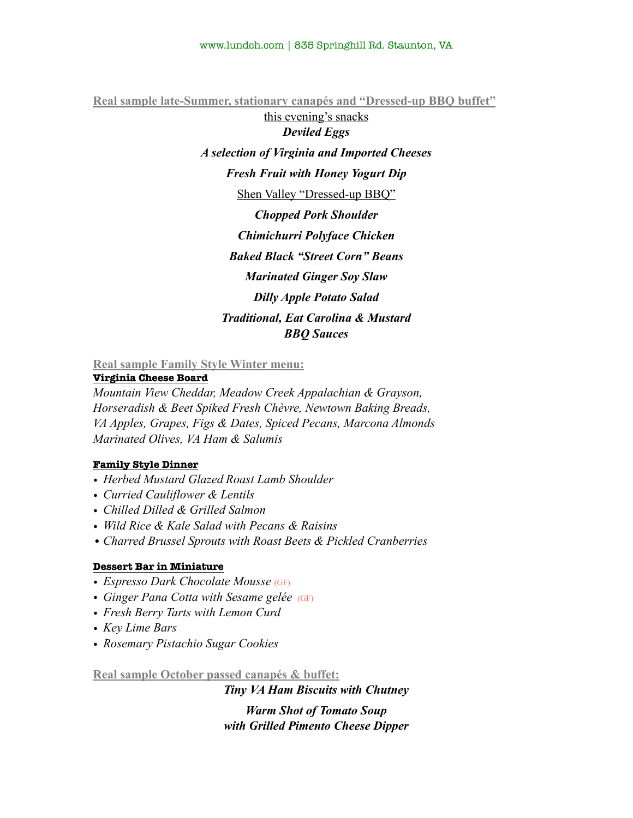**Real sample late-Summer, stationary canapés and "Dressed-up BBQ buffet"**

this evening's snacks *Deviled Eggs A selection of Virginia and Imported Cheeses Fresh Fruit with Honey Yogurt Dip*  Shen Valley "Dressed-up BBQ" *Chopped Pork Shoulder Chimichurri Polyface Chicken Baked Black "Street Corn" Beans Marinated Ginger Soy Slaw Dilly Apple Potato Salad Traditional, Eat Carolina & Mustard BBQ Sauces* 

**Real sample Family Style Winter menu:** 

**Virginia Cheese Board**

*Mountain View Cheddar, Meadow Creek Appalachian & Grayson, Horseradish & Beet Spiked Fresh Chèvre, Newtown Baking Breads, VA Apples, Grapes, Figs & Dates, Spiced Pecans, Marcona Almonds Marinated Olives, VA Ham & Salumis*

### **Family Style Dinner**

- *• Herbed Mustard Glazed Roast Lamb Shoulder*
- *• Curried Cauliflower & Lentils*
- *• Chilled Dilled & Grilled Salmon*
- *• Wild Rice & Kale Salad with Pecans & Raisins*
- •*Charred Brussel Sprouts with Roast Beets & Pickled Cranberries*

### **Dessert Bar in Miniature**

- *• Espresso Dark Chocolate Mousse* (GF)
- *• Ginger Pana Cotta with Sesame gelée* (GF)
- *• Fresh Berry Tarts with Lemon Curd*
- *• Key Lime Bars*
- *• Rosemary Pistachio Sugar Cookies*

**Real sample October passed canapés & buffet:**

*Tiny VA Ham Biscuits with Chutney* 

*Warm Shot of Tomato Soup with Grilled Pimento Cheese Dipper*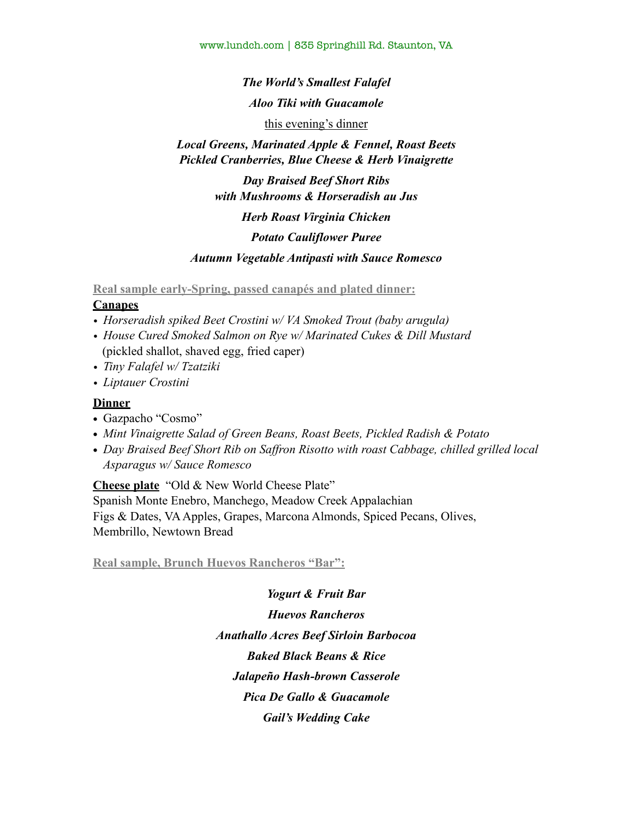www.lundch.com | 835 Springhill Rd. Staunton, VA

*The World's Smallest Falafel Aloo Tiki with Guacamole*  this evening's dinner

# *Local Greens, Marinated Apple & Fennel, Roast Beets Pickled Cranberries, Blue Cheese & Herb Vinaigrette*

*Day Braised Beef Short Ribs with Mushrooms & Horseradish au Jus Herb Roast Virginia Chicken* 

*Potato Cauliflower Puree* 

*Autumn Vegetable Antipasti with Sauce Romesco* 

**Real sample early-Spring, passed canapés and plated dinner:** 

### **Canapes**

- *• Horseradish spiked Beet Crostini w/ VA Smoked Trout (baby arugula)*
- *• House Cured Smoked Salmon on Rye w/ Marinated Cukes & Dill Mustard*  (pickled shallot, shaved egg, fried caper)
- *• Tiny Falafel w/ Tzatziki*
- *• Liptauer Crostini*

### **Dinner**

- *•* Gazpacho "Cosmo"
- *• Mint Vinaigrette Salad of Green Beans, Roast Beets, Pickled Radish & Potato*
- *• Day Braised Beef Short Rib on Saffron Risotto with roast Cabbage, chilled grilled local Asparagus w/ Sauce Romesco*

**Cheese plate** "Old & New World Cheese Plate"

Spanish Monte Enebro, Manchego, Meadow Creek Appalachian Figs & Dates, VA Apples, Grapes, Marcona Almonds, Spiced Pecans, Olives, Membrillo, Newtown Bread

**Real sample, Brunch Huevos Rancheros "Bar":** 

*Yogurt & Fruit Bar Huevos Rancheros Anathallo Acres Beef Sirloin Barbocoa Baked Black Beans & Rice Jalapeño Hash-brown Casserole Pica De Gallo & Guacamole Gail's Wedding Cake*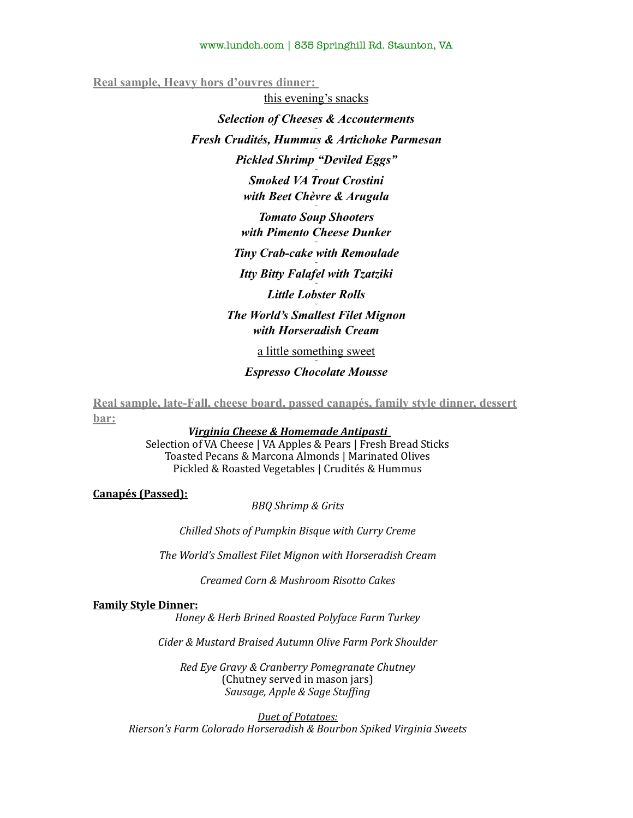### www.lundch.com | 835 Springhill Rd. Staunton, VA

**Real sample, Heavy hors d'ouvres dinner:** 

this evening's snacks *Selection of Cheeses & Accouterments ~ Fresh Crudités, Hummus & Artichoke Parmesan* ~ *Pickled Shrimp "Deviled Eggs" ~ Smoked VA Trout Crostini with Beet Chèvre & Arugula ~ Tomato Soup Shooters with Pimento Cheese Dunker ~ Tiny Crab-cake with Remoulade ~ Itty Bitty Falafel with Tzatziki ~ Little Lobster Rolls ~ The World's Smallest Filet Mignon with Horseradish Cream* 

> a little something sweet *~*

*Espresso Chocolate Mousse* 

**Real sample, late-Fall, cheese board, passed canapés, family style dinner, dessert bar:** 

#### Virginia Cheese & Homemade Antipasti

Selection of VA Cheese | VA Apples & Pears | Fresh Bread Sticks Toasted Pecans & Marcona Almonds | Marinated Olives Pickled & Roasted Vegetables | Crudités & Hummus

**Canapés (Passed):** 

**BBQ** Shrimp & Grits

*Chilled Shots of Pumpkin Bisque with Curry Creme* 

The World's Smallest Filet Mignon with Horseradish Cream

*Creamed Corn & Mushroom Risotto Cakes* 

#### **Family Style Dinner:**

*Honey & Herb Brined Roasted Polyface Farm Turkey* 

*Cider & Mustard Braised Autumn Olive Farm Pork Shoulder* 

*Red Eye Gravy & Cranberry Pomegranate Chutney* (Chutney served in mason jars) *Sausage, Apple & Sage Stuffing* 

*Duet of Potatoes:* **Rierson's Farm Colorado Horseradish & Bourbon Spiked Virginia Sweets**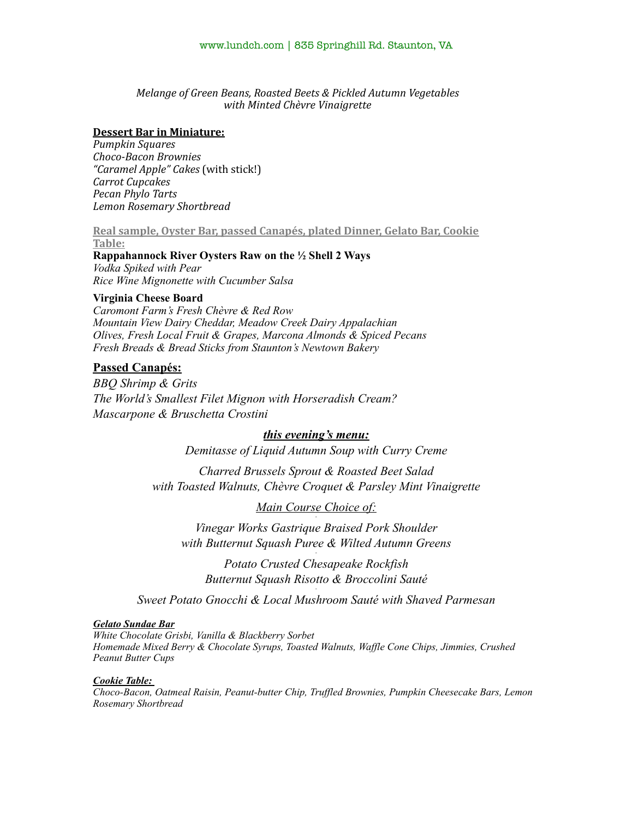### *Melange of Green Beans, Roasted Beets & Pickled Autumn Vegetables with Minted Chèvre Vinaigrette*

#### **Dessert Bar in Miniature:**

*Pumpkin Squares Choco-Bacon Brownies "Caramel Apple" Cakes* (with stick!) *Carrot Cupcakes Pecan Phylo Tarts Lemon Rosemary Shortbread* 

**Real sample, Oyster Bar, passed Canapés, plated Dinner, Gelato Bar, Cookie** Table:

**Rappahannock River Oysters Raw on the ½ Shell 2 Ways** *Vodka Spiked with Pear Rice Wine Mignonette with Cucumber Salsa*

#### **Virginia Cheese Board**

*Caromont Farm's Fresh Chèvre & Red Row Mountain View Dairy Cheddar, Meadow Creek Dairy Appalachian Olives, Fresh Local Fruit & Grapes, Marcona Almonds & Spiced Pecans Fresh Breads & Bread Sticks from Staunton's Newtown Bakery* 

### **Passed Canapés:**

*BBQ Shrimp & Grits The World's Smallest Filet Mignon with Horseradish Cream? Mascarpone & Bruschetta Crostini* 

### *this evening's menu:*

*Demitasse of Liquid Autumn Soup with Curry Creme*

*Charred Brussels Sprout & Roasted Beet Salad with Toasted Walnuts, Chèvre Croquet & Parsley Mint Vinaigrette* 

*Main Course Choice of: -* 

*Vinegar Works Gastrique Braised Pork Shoulder with Butternut Squash Puree & Wilted Autumn Greens -* 

*Potato Crusted Chesapeake Rockfish Butternut Squash Risotto & Broccolini Sauté -* 

*Sweet Potato Gnocchi & Local Mushroom Sauté with Shaved Parmesan*

#### *Gelato Sundae Bar*

*White Chocolate Grisbi, Vanilla & Blackberry Sorbet Homemade Mixed Berry & Chocolate Syrups, Toasted Walnuts, Waffle Cone Chips, Jimmies, Crushed Peanut Butter Cups* 

#### *Cookie Table:*

*Choco-Bacon, Oatmeal Raisin, Peanut-butter Chip, Truffled Brownies, Pumpkin Cheesecake Bars, Lemon Rosemary Shortbread*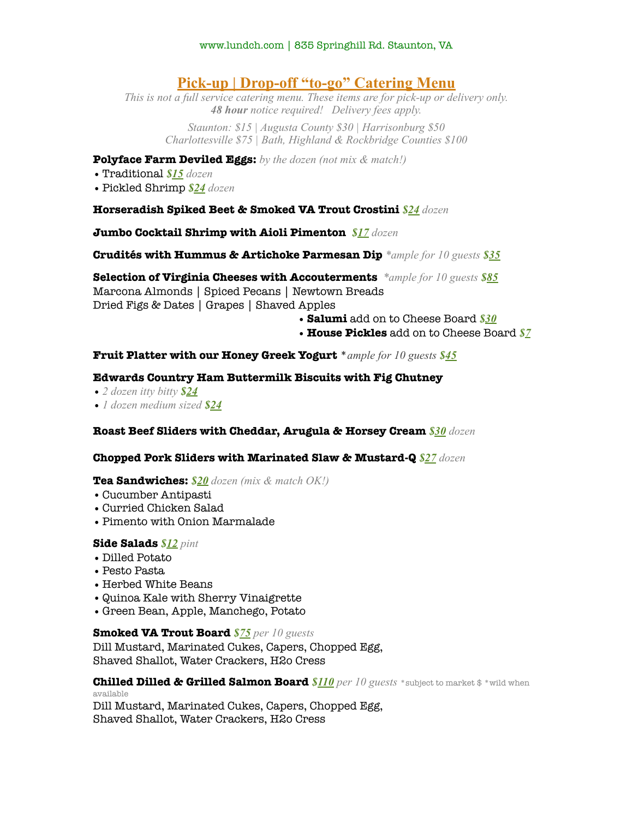# **Pick-up | Drop-off "to-go" Catering Menu**

*This is not a full service catering menu. These items are for pick-up or delivery only. 48 hour notice required! Delivery fees apply.* 

*Staunton: \$15 | Augusta County \$30 | Harrisonburg \$50 Charlottesville \$75 | Bath, Highland & Rockbridge Counties \$100* 

### **Polyface Farm Deviled Eggs:** *by the dozen (not mix & match!)*

- •Traditional *\$15 dozen*
- •Pickled Shrimp *\$24 dozen*

### **Horseradish Spiked Beet & Smoked VA Trout Crostini** *\$24 dozen*

### **Jumbo Cocktail Shrimp with Aioli Pimenton** *\$17 dozen*

**Crudités with Hummus & Artichoke Parmesan Dip** *\*ample for 10 guests \$35*

**Selection of Virginia Cheeses with Accouterments** *\*ample for 10 guests \$85* Marcona Almonds | Spiced Pecans | Newtown Breads Dried Figs & Dates | Grapes | Shaved Apples

•**Salumi** add on to Cheese Board *\$30*

• **House Pickles** add on to Cheese Board *\$7*

### **Fruit Platter with our Honey Greek Yogurt** \**ample for 10 guests \$45*

### **Edwards Country Ham Buttermilk Biscuits with Fig Chutney**

- •*2 dozen itty bitty \$24*
- •*1 dozen medium sized \$24*

### **Roast Beef Sliders with Cheddar, Arugula & Horsey Cream** *\$30 dozen*

### **Chopped Pork Sliders with Marinated Slaw & Mustard-Q** *\$27 dozen*

### **Tea Sandwiches:** *\$20 dozen (mix & match OK!)*

- •Cucumber Antipasti
- •Curried Chicken Salad
- •Pimento with Onion Marmalade

### **Side Salads** *\$12 pint*

- Dilled Potato
- •Pesto Pasta
- •Herbed White Beans
- •Quinoa Kale with Sherry Vinaigrette
- Green Bean, Apple, Manchego, Potato

### **Smoked VA Trout Board** *\$75 per 10 guests*

Dill Mustard, Marinated Cukes, Capers, Chopped Egg, Shaved Shallot, Water Crackers, H2o Cress

**Chilled Dilled & Grilled Salmon Board** *\$110 per 10 guests* \*subject to market \$ \*wild when available

Dill Mustard, Marinated Cukes, Capers, Chopped Egg, Shaved Shallot, Water Crackers, H2o Cress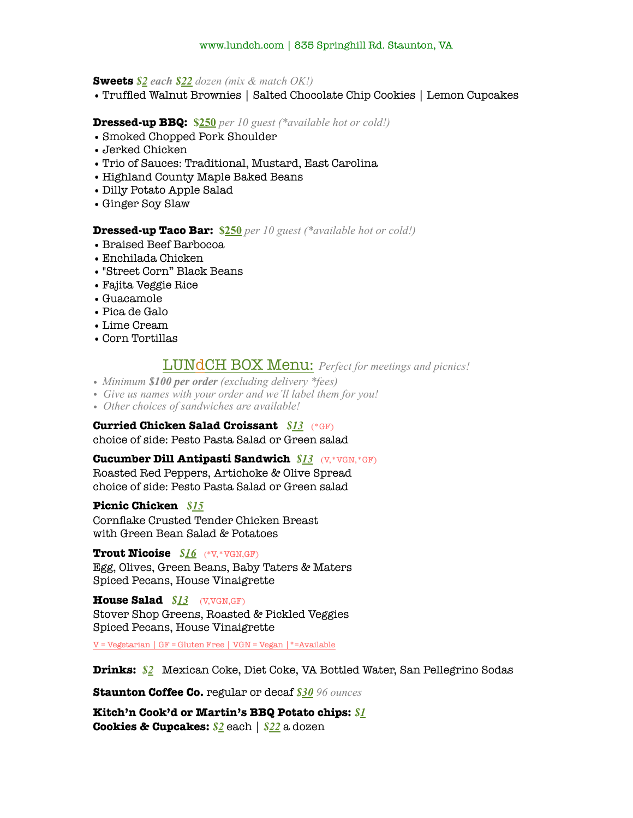### **Sweets** *\$2 each \$22 dozen (mix & match OK!)*

•Truffled Walnut Brownies | Salted Chocolate Chip Cookies | Lemon Cupcakes

### **Dressed-up BBQ: \$250** *per 10 guest (\*available hot or cold!)*

- •Smoked Chopped Pork Shoulder
- •Jerked Chicken
- •Trio of Sauces: Traditional, Mustard, East Carolina
- •Highland County Maple Baked Beans
- Dilly Potato Apple Salad
- Ginger Soy Slaw

### **Dressed-up Taco Bar: \$250** *per 10 guest (\*available hot or cold!)*

- •Braised Beef Barbocoa
- •Enchilada Chicken
- •"Street Corn" Black Beans
- •Fajita Veggie Rice
- Guacamole
- •Pica de Galo
- •Lime Cream
- •Corn Tortillas

### LUNdCH BOX Menu: *Perfect for meetings and picnics!*

- *• Minimum \$100 per order (excluding delivery \*fees)*
- *• Give us names with your order and we'll label them for you!*
- *• Other choices of sandwiches are available!*

### **Curried Chicken Salad Croissant** *\$13*(\*GF)

choice of side: Pesto Pasta Salad or Green salad

### **Cucumber Dill Antipasti Sandwich** *\$13*(V,\*VGN,\*GF)

Roasted Red Peppers, Artichoke & Olive Spread choice of side: Pesto Pasta Salad or Green salad

### **Picnic Chicken** *\$15*

Cornflake Crusted Tender Chicken Breast with Green Bean Salad & Potatoes

### **Trout Nicoise** *\$16*(\*V,\*VGN,GF)

Egg, Olives, Green Beans, Baby Taters & Maters Spiced Pecans, House Vinaigrette

**House Salad** *\$13*(V,VGN,GF) Stover Shop Greens, Roasted & Pickled Veggies Spiced Pecans, House Vinaigrette

V = Vegetarian | GF = Gluten Free | VGN = Vegan |\*=Available

### **Drinks:** *\$2*Mexican Coke, Diet Coke, VA Bottled Water, San Pellegrino Sodas

**Staunton Coffee Co.** regular or decaf *\$30 96 ounces*

**Kitch'n Cook'd or Martin's BBQ Potato chips:** *\$1* **Cookies & Cupcakes:** *\$2* each | *\$22* a dozen